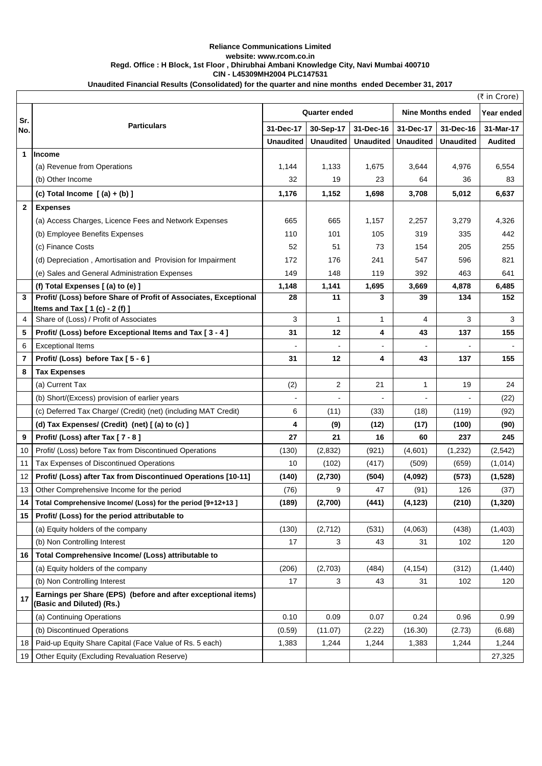## **Reliance Communications Limited website: www.rcom.co.in Regd. Office : H Block, 1st Floor , Dhirubhai Ambani Knowledge City, Navi Mumbai 400710 CIN - L45309MH2004 PLC147531 Unaudited Financial Results (Consolidated) for the quarter and nine months ended December 31, 2017**

|                         | $($ ₹ in Crore)                                                                            |                      |                  |                  |                          |                  |                |  |  |
|-------------------------|--------------------------------------------------------------------------------------------|----------------------|------------------|------------------|--------------------------|------------------|----------------|--|--|
| Sr.                     |                                                                                            | <b>Quarter ended</b> |                  |                  | <b>Nine Months ended</b> | Year ended       |                |  |  |
| No.                     | <b>Particulars</b>                                                                         | 31-Dec-17            | 30-Sep-17        | 31-Dec-16        | 31-Dec-17                | 31-Dec-16        | 31-Mar-17      |  |  |
|                         |                                                                                            | <b>Unaudited</b>     | <b>Unaudited</b> | <b>Unaudited</b> | <b>Unaudited</b>         | <b>Unaudited</b> | <b>Audited</b> |  |  |
| $\mathbf{1}$            | <b>Income</b>                                                                              |                      |                  |                  |                          |                  |                |  |  |
|                         | (a) Revenue from Operations                                                                | 1,144                | 1,133            | 1,675            | 3,644                    | 4,976            | 6,554          |  |  |
|                         | (b) Other Income                                                                           | 32                   | 19               | 23               | 64                       | 36               | 83             |  |  |
|                         | (c) Total Income $[(a) + (b)]$                                                             | 1,176                | 1,152            | 1,698            | 3,708                    | 5,012            | 6,637          |  |  |
| $\mathbf{2}$            | <b>Expenses</b>                                                                            |                      |                  |                  |                          |                  |                |  |  |
|                         | (a) Access Charges, Licence Fees and Network Expenses                                      | 665                  | 665              | 1,157            | 2,257                    | 3,279            | 4,326          |  |  |
|                         | (b) Employee Benefits Expenses                                                             | 110                  | 101              | 105              | 319                      | 335              | 442            |  |  |
|                         | (c) Finance Costs                                                                          | 52                   | 51               | 73               | 154                      | 205              | 255            |  |  |
|                         | (d) Depreciation, Amortisation and Provision for Impairment                                | 172                  | 176              | 241              | 547                      | 596              | 821            |  |  |
|                         | (e) Sales and General Administration Expenses                                              | 149                  | 148              | 119              | 392                      | 463              | 641            |  |  |
|                         | (f) Total Expenses [(a) to (e) ]                                                           | 1,148                | 1,141            | 1,695            | 3,669                    | 4,878            | 6,485          |  |  |
| 3                       | Profit/ (Loss) before Share of Profit of Associates, Exceptional                           | 28                   | 11               | 3                | 39                       | 134              | 152            |  |  |
|                         | Items and Tax $[1(c) - 2(f)]$                                                              |                      |                  |                  |                          |                  |                |  |  |
| 4                       | Share of (Loss) / Profit of Associates                                                     | 3                    | $\mathbf{1}$     | 1                | 4                        | 3                | 3              |  |  |
| 5                       | Profit/ (Loss) before Exceptional Items and Tax [3 - 4]                                    | 31                   | 12               | 4                | 43                       | 137              | 155            |  |  |
| 6                       | <b>Exceptional Items</b>                                                                   |                      |                  |                  |                          |                  |                |  |  |
| $\overline{\mathbf{r}}$ | Profit/ (Loss) before Tax [5 - 6]                                                          | 31                   | 12               | 4                | 43                       | 137              | 155            |  |  |
| 8                       | <b>Tax Expenses</b>                                                                        |                      |                  |                  |                          |                  |                |  |  |
|                         | (a) Current Tax                                                                            | (2)                  | 2                | 21               | 1                        | 19               | 24             |  |  |
|                         | (b) Short/(Excess) provision of earlier years                                              | $\blacksquare$       | $\overline{a}$   |                  | $\blacksquare$           |                  | (22)           |  |  |
|                         | (c) Deferred Tax Charge/ (Credit) (net) (including MAT Credit)                             | 6                    | (11)             | (33)             | (18)                     | (119)            | (92)           |  |  |
|                         | (d) Tax Expenses/ (Credit) (net) [(a) to (c) ]                                             | 4                    | (9)              | (12)             | (17)                     | (100)            | (90)           |  |  |
| 9                       | Profit/ (Loss) after Tax [7 - 8]                                                           | 27                   | 21               | 16               | 60                       | 237              | 245            |  |  |
| 10                      | Profit/ (Loss) before Tax from Discontinued Operations                                     | (130)                | (2,832)          | (921)            | (4,601)                  | (1,232)          | (2, 542)       |  |  |
| 11                      | Tax Expenses of Discontinued Operations                                                    | 10                   | (102)            | (417)            | (509)                    | (659)            | (1,014)        |  |  |
| 12                      | Profit/ (Loss) after Tax from Discontinued Operations [10-11]                              | (140)                | (2,730)          | (504)            | (4,092)                  | (573)            | (1,528)        |  |  |
| 13                      | Other Comprehensive Income for the period                                                  | (76)                 | 9                | 47               | (91)                     | 126              | (37)           |  |  |
| 14                      | Total Comprehensive Income/ (Loss) for the period [9+12+13]                                | (189)                | (2,700)          | (441)            | (4, 123)                 | (210)            | (1, 320)       |  |  |
| 15                      | Profit/ (Loss) for the period attributable to                                              |                      |                  |                  |                          |                  |                |  |  |
|                         | (a) Equity holders of the company                                                          | (130)                | (2,712)          | (531)            | (4,063)                  | (438)            | (1,403)        |  |  |
|                         | (b) Non Controlling Interest                                                               | 17                   | 3                | 43               | 31                       | 102              | 120            |  |  |
| 16                      | Total Comprehensive Income/ (Loss) attributable to                                         |                      |                  |                  |                          |                  |                |  |  |
|                         | (a) Equity holders of the company                                                          | (206)                | (2,703)          | (484)            | (4, 154)                 | (312)            | (1,440)        |  |  |
|                         | (b) Non Controlling Interest                                                               | 17                   | 3                | 43               | 31                       | 102              | 120            |  |  |
| 17                      | Earnings per Share (EPS) (before and after exceptional items)<br>(Basic and Diluted) (Rs.) |                      |                  |                  |                          |                  |                |  |  |
|                         | (a) Continuing Operations                                                                  | 0.10                 | 0.09             | 0.07             | 0.24                     | 0.96             | 0.99           |  |  |
|                         | (b) Discontinued Operations                                                                | (0.59)               | (11.07)          | (2.22)           | (16.30)                  | (2.73)           | (6.68)         |  |  |
| 18                      | Paid-up Equity Share Capital (Face Value of Rs. 5 each)                                    | 1,383                | 1,244            | 1,244            | 1,383                    | 1,244            | 1,244          |  |  |
| 19                      | Other Equity (Excluding Revaluation Reserve)                                               |                      |                  |                  |                          |                  | 27,325         |  |  |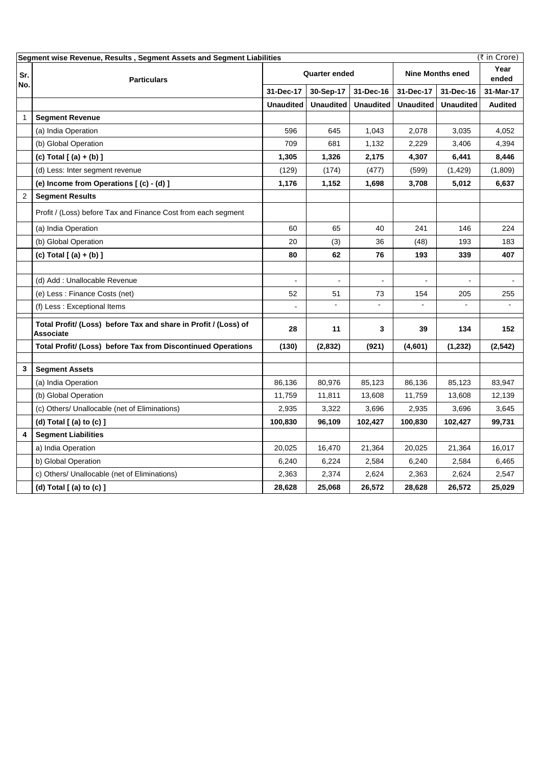| (₹ in Crore)<br>Segment wise Revenue, Results, Segment Assets and Segment Liabilities |                                                                              |                      |                  |                  |                         |                  |                |  |
|---------------------------------------------------------------------------------------|------------------------------------------------------------------------------|----------------------|------------------|------------------|-------------------------|------------------|----------------|--|
| Sr.<br>No.                                                                            | <b>Particulars</b>                                                           | <b>Quarter ended</b> |                  |                  | <b>Nine Months ened</b> |                  | Year<br>ended  |  |
|                                                                                       |                                                                              | 31-Dec-17            | 30-Sep-17        | 31-Dec-16        | 31-Dec-17               | 31-Dec-16        | 31-Mar-17      |  |
|                                                                                       |                                                                              | <b>Unaudited</b>     | <b>Unaudited</b> | <b>Unaudited</b> | <b>Unaudited</b>        | <b>Unaudited</b> | <b>Audited</b> |  |
| $\mathbf{1}$                                                                          | <b>Segment Revenue</b>                                                       |                      |                  |                  |                         |                  |                |  |
|                                                                                       | (a) India Operation                                                          | 596                  | 645              | 1,043            | 2,078                   | 3,035            | 4,052          |  |
|                                                                                       | (b) Global Operation                                                         | 709                  | 681              | 1,132            | 2,229                   | 3,406            | 4,394          |  |
|                                                                                       | (c) Total [ (a) + (b) ]                                                      | 1,305                | 1,326            | 2,175            | 4,307                   | 6,441            | 8,446          |  |
|                                                                                       | (d) Less: Inter segment revenue                                              | (129)                | (174)            | (477)            | (599)                   | (1,429)          | (1,809)        |  |
|                                                                                       | (e) Income from Operations [(c) - (d) ]                                      | 1,176                | 1,152            | 1,698            | 3,708                   | 5,012            | 6,637          |  |
| $\overline{2}$                                                                        | <b>Segment Results</b>                                                       |                      |                  |                  |                         |                  |                |  |
|                                                                                       | Profit / (Loss) before Tax and Finance Cost from each segment                |                      |                  |                  |                         |                  |                |  |
|                                                                                       | (a) India Operation                                                          | 60                   | 65               | 40               | 241                     | 146              | 224            |  |
|                                                                                       | (b) Global Operation                                                         | 20                   | (3)              | 36               | (48)                    | 193              | 183            |  |
|                                                                                       | (c) Total $[ (a) + (b) ]$                                                    | 80                   | 62               | 76               | 193                     | 339              | 407            |  |
|                                                                                       |                                                                              |                      |                  |                  |                         |                  |                |  |
|                                                                                       | (d) Add: Unallocable Revenue                                                 |                      |                  |                  |                         |                  |                |  |
|                                                                                       | (e) Less : Finance Costs (net)                                               | 52                   | 51               | 73               | 154                     | 205              | 255            |  |
|                                                                                       | (f) Less: Exceptional Items                                                  |                      |                  |                  |                         |                  |                |  |
|                                                                                       | Total Profit/ (Loss) before Tax and share in Profit / (Loss) of<br>Associate | 28                   | 11               | 3                | 39                      | 134              | 152            |  |
|                                                                                       | Total Profit/ (Loss) before Tax from Discontinued Operations                 | (130)                | (2,832)          | (921)            | (4,601)                 | (1, 232)         | (2, 542)       |  |
|                                                                                       |                                                                              |                      |                  |                  |                         |                  |                |  |
| 3                                                                                     | <b>Segment Assets</b>                                                        |                      |                  |                  |                         |                  |                |  |
|                                                                                       | (a) India Operation                                                          | 86,136               | 80,976           | 85,123           | 86,136                  | 85,123           | 83,947         |  |
|                                                                                       | (b) Global Operation                                                         | 11,759               | 11,811           | 13,608           | 11,759                  | 13,608           | 12,139         |  |
|                                                                                       | (c) Others/ Unallocable (net of Eliminations)                                | 2,935                | 3,322            | 3,696            | 2,935                   | 3,696            | 3,645          |  |
|                                                                                       | (d) Total [ (a) to (c) ]                                                     | 100,830              | 96,109           | 102,427          | 100,830                 | 102,427          | 99,731         |  |
| 4                                                                                     | <b>Segment Liabilities</b>                                                   |                      |                  |                  |                         |                  |                |  |
|                                                                                       | a) India Operation                                                           | 20,025               | 16,470           | 21,364           | 20,025                  | 21,364           | 16,017         |  |
|                                                                                       | b) Global Operation                                                          | 6,240                | 6,224            | 2,584            | 6,240                   | 2,584            | 6,465          |  |
|                                                                                       | c) Others/ Unallocable (net of Eliminations)                                 | 2,363                | 2,374            | 2,624            | 2,363                   | 2,624            | 2,547          |  |
|                                                                                       | (d) Total [ (a) to (c) ]                                                     | 28,628               | 25,068           | 26,572           | 28,628                  | 26,572           | 25,029         |  |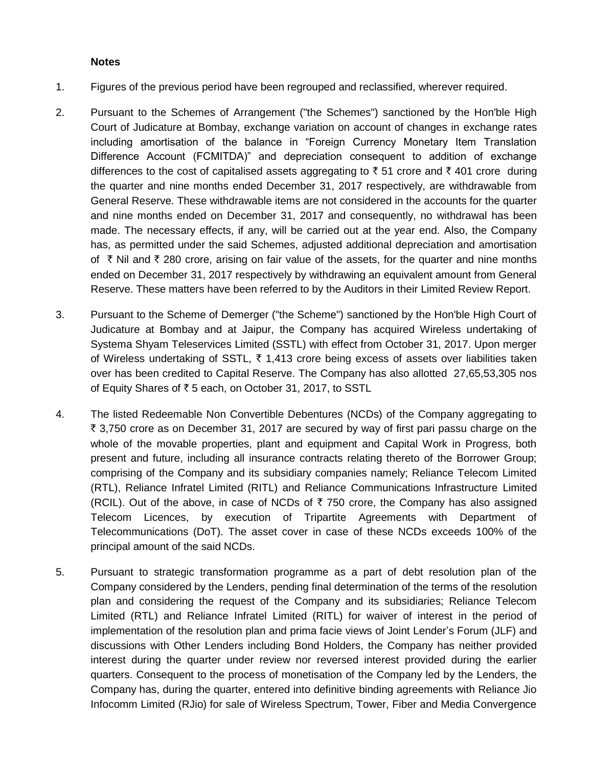## **Notes**

- 1. Figures of the previous period have been regrouped and reclassified, wherever required.
- 2. Pursuant to the Schemes of Arrangement ("the Schemes") sanctioned by the Hon'ble High Court of Judicature at Bombay, exchange variation on account of changes in exchange rates including amortisation of the balance in "Foreign Currency Monetary Item Translation Difference Account (FCMITDA)" and depreciation consequent to addition of exchange differences to the cost of capitalised assets aggregating to  $\bar{z}$  51 crore and  $\bar{z}$  401 crore during the quarter and nine months ended December 31, 2017 respectively, are withdrawable from General Reserve. These withdrawable items are not considered in the accounts for the quarter and nine months ended on December 31, 2017 and consequently, no withdrawal has been made. The necessary effects, if any, will be carried out at the year end. Also, the Company has, as permitted under the said Schemes, adjusted additional depreciation and amortisation of  $\bar{\tau}$  Nil and  $\bar{\tau}$  280 crore, arising on fair value of the assets, for the quarter and nine months ended on December 31, 2017 respectively by withdrawing an equivalent amount from General Reserve. These matters have been referred to by the Auditors in their Limited Review Report.
- 3. Pursuant to the Scheme of Demerger ("the Scheme") sanctioned by the Hon'ble High Court of Judicature at Bombay and at Jaipur, the Company has acquired Wireless undertaking of Systema Shyam Teleservices Limited (SSTL) with effect from October 31, 2017. Upon merger of Wireless undertaking of SSTL,  $\bar{\tau}$  1,413 crore being excess of assets over liabilities taken over has been credited to Capital Reserve. The Company has also allotted 27,65,53,305 nos of Equity Shares of  $\overline{\tau}$  5 each, on October 31, 2017, to SSTL
- 4. The listed Redeemable Non Convertible Debentures (NCDs) of the Company aggregating to  $\bar{\tau}$  3,750 crore as on December 31, 2017 are secured by way of first pari passu charge on the whole of the movable properties, plant and equipment and Capital Work in Progress, both present and future, including all insurance contracts relating thereto of the Borrower Group; comprising of the Company and its subsidiary companies namely; Reliance Telecom Limited (RTL), Reliance Infratel Limited (RITL) and Reliance Communications Infrastructure Limited (RCIL). Out of the above, in case of NCDs of  $\bar{\tau}$  750 crore, the Company has also assigned Telecom Licences, by execution of Tripartite Agreements with Department of Telecommunications (DoT). The asset cover in case of these NCDs exceeds 100% of the principal amount of the said NCDs.
- 5. Pursuant to strategic transformation programme as a part of debt resolution plan of the Company considered by the Lenders, pending final determination of the terms of the resolution plan and considering the request of the Company and its subsidiaries; Reliance Telecom Limited (RTL) and Reliance Infratel Limited (RITL) for waiver of interest in the period of implementation of the resolution plan and prima facie views of Joint Lender's Forum (JLF) and discussions with Other Lenders including Bond Holders, the Company has neither provided interest during the quarter under review nor reversed interest provided during the earlier quarters. Consequent to the process of monetisation of the Company led by the Lenders, the Company has, during the quarter, entered into definitive binding agreements with Reliance Jio Infocomm Limited (RJio) for sale of Wireless Spectrum, Tower, Fiber and Media Convergence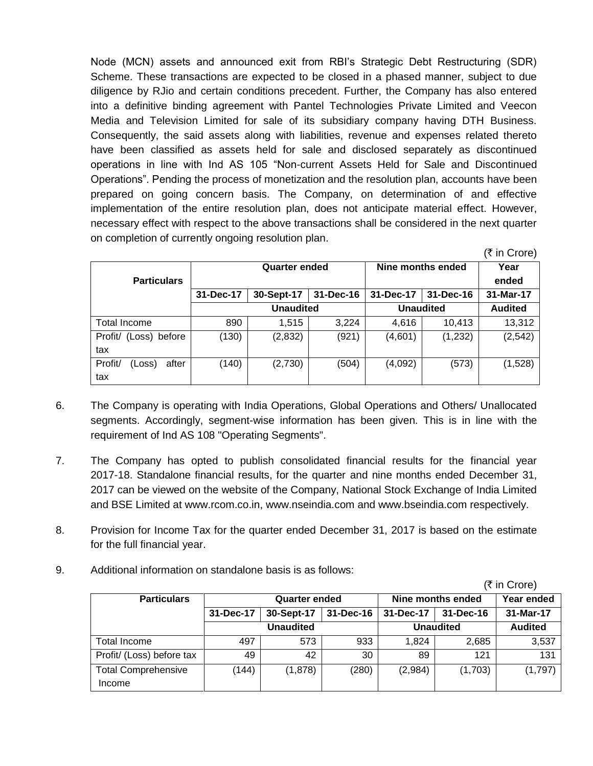Node (MCN) assets and announced exit from RBI's Strategic Debt Restructuring (SDR) Scheme. These transactions are expected to be closed in a phased manner, subject to due diligence by RJio and certain conditions precedent. Further, the Company has also entered into a definitive binding agreement with Pantel Technologies Private Limited and Veecon Media and Television Limited for sale of its subsidiary company having DTH Business. Consequently, the said assets along with liabilities, revenue and expenses related thereto have been classified as assets held for sale and disclosed separately as discontinued operations in line with Ind AS 105 "Non-current Assets Held for Sale and Discontinued Operations". Pending the process of monetization and the resolution plan, accounts have been prepared on going concern basis. The Company, on determination of and effective implementation of the entire resolution plan, does not anticipate material effect. However, necessary effect with respect to the above transactions shall be considered in the next quarter on completion of currently ongoing resolution plan.

|                            |           | <b>Quarter ended</b> |           | Nine months ended | Year             |           |  |
|----------------------------|-----------|----------------------|-----------|-------------------|------------------|-----------|--|
| <b>Particulars</b>         |           |                      |           |                   |                  | ended     |  |
|                            | 31-Dec-17 | 30-Sept-17           | 31-Dec-16 | 31-Dec-17         | 31-Dec-16        | 31-Mar-17 |  |
|                            |           | <b>Unaudited</b>     |           |                   | <b>Unaudited</b> |           |  |
| <b>Total Income</b>        | 890       | 1.515                | 3,224     | 4,616             | 10.413           | 13,312    |  |
| Profit/<br>(Loss) before   | (130)     | (2,832)              | (921)     | (4,601)           | (1,232)          | (2, 542)  |  |
| tax                        |           |                      |           |                   |                  |           |  |
| Profit/<br>after<br>(Loss) | (140)     | (2,730)              | (504)     | (4,092)           | (573)            | (1,528)   |  |
| tax                        |           |                      |           |                   |                  |           |  |

 $(\bar{\tau}$  in Crore)

- 6. The Company is operating with India Operations, Global Operations and Others/ Unallocated segments. Accordingly, segment-wise information has been given. This is in line with the requirement of Ind AS 108 "Operating Segments".
- 7. The Company has opted to publish consolidated financial results for the financial year 2017-18. Standalone financial results, for the quarter and nine months ended December 31, 2017 can be viewed on the website of the Company, National Stock Exchange of India Limited and BSE Limited at www.rcom.co.in, www.nseindia.com and www.bseindia.com respectively.
- 8. Provision for Income Tax for the quarter ended December 31, 2017 is based on the estimate for the full financial year.
- 9. Additional information on standalone basis is as follows:

(₹ in Crore) **Particulars Quarter ended Nine months ended Year ended 31-Dec-17 30-Sept-17 31-Dec-16 31-Dec-17 31-Dec-16 31-Mar-17 Unaudited Unaudited Audited** Total Income | 497 | 573 | 933 | 1,824 | 2,685 | 3,537 Profit/ (Loss) before tax  $\begin{array}{|c|c|c|c|c|c|c|c|c|} \hline \end{array}$  42 30 89 121 131 Total Comprehensive Income  $(144)$   $(1,878)$   $(280)$   $(2,984)$   $(1,703)$   $(1,797)$